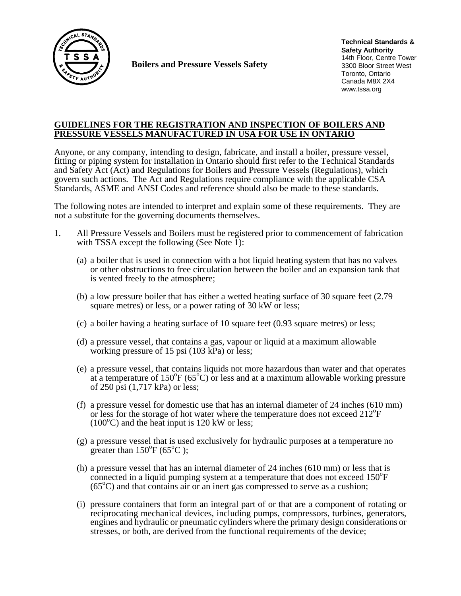

**Boilers and Pressure Vessels Safety** 

**Technical Standards & Safety Authority** 14th Floor, Centre Tower 3300 Bloor Street West Toronto, Ontario Canada M8X 2X4 www.tssa.org

## **GUIDELINES FOR THE REGISTRATION AND INSPECTION OF BOILERS AND PRESSURE VESSELS MANUFACTURED IN USA FOR USE IN ONTARIO**

Anyone, or any company, intending to design, fabricate, and install a boiler, pressure vessel, fitting or piping system for installation in Ontario should first refer to the Technical Standards and Safety Act (Act) and Regulations for Boilers and Pressure Vessels (Regulations), which govern such actions. The Act and Regulations require compliance with the applicable CSA Standards, ASME and ANSI Codes and reference should also be made to these standards.

The following notes are intended to interpret and explain some of these requirements. They are not a substitute for the governing documents themselves.

- 1. All Pressure Vessels and Boilers must be registered prior to commencement of fabrication
	- with TSSA except the following (See Note 1):<br>(a) a boiler that is used in connection with a hot liquid heating system that has no valves or other obstructions to free circulation between the boiler and an expansion tank that is vented freely to the atmosphere;
	- (b) a low pressure boiler that has either a wetted heating surface of 30 square feet (2.79 square metres) or less, or a power rating of 30 kW or less;
	- (c) a boiler having a heating surface of 10 square feet (0.93 square metres) or less;
	- (d) a pressure vessel, that contains a gas, vapour or liquid at a maximum allowable working pressure of 15 psi (103 kPa) or less;
	- (e) a pressure vessel, that contains liquids not more hazardous than water and that operates at a temperature of  $150^{\circ}F (65^{\circ}C)$  or less and at a maximum allowable working pressure of 250 psi (1,717 kPa) or less;
	- (f) a pressure vessel for domestic use that has an internal diameter of 24 inches (610 mm) or less for the storage of hot water where the temperature does not exceed 212<sup>o</sup>F  $(100^{\circ}$ C) and the heat input is 120 kW or less;
	- (g) a pressure vessel that is used exclusively for hydraulic purposes at a temperature no greater than  $150^{\circ}F(65^{\circ}C)$ ;
	- (h) a pressure vessel that has an internal diameter of 24 inches (610 mm) or less that is connected in a liquid pumping system at a temperature that does not exceed 150°F  $(65^{\circ}$ C) and that contains air or an inert gas compressed to serve as a cushion;
	- (i) pressure containers that form an integral part of or that are a component of rotating or reciprocating mechanical devices, including pumps, compressors, turbines, generators, engines and hydraulic or pneumatic cylinders where the primary design considerations or stresses, or both, are derived from the functional requirements of the device;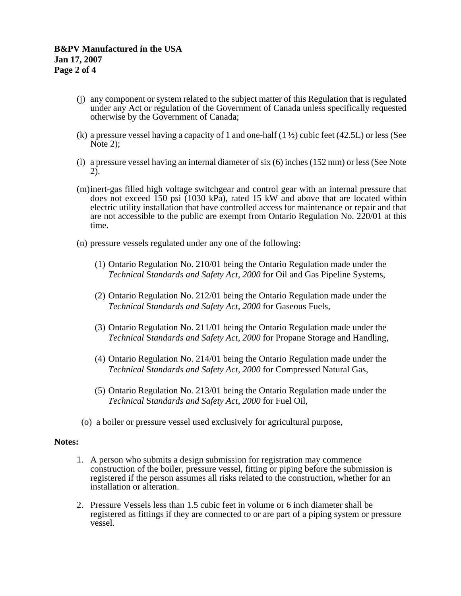- (j) any component or system related to the subject matter of this Regulation that is regulated under any Act or regulation of the Government of Canada unless specifically requested otherwise by the Government of Canada;
- (k) a pressure vessel having a capacity of 1 and one-half  $(1 \frac{1}{2})$  cubic feet (42.5L) or less (See Note 2);
- (l) a pressure vessel having an internal diameter of six (6) inches (152 mm) or less (See Note 2).
- (m) inert-gas filled high voltage switchgear and control gear with an internal pressure that does not exceed  $\overline{150}$  psi (1030 kPa), rated 15 kW and above that are located within electric utility installation that have controlled access for maintenance or repair and that are not accessible to the public are exempt from Ontario Regulation No. 220/01 at this time.
- (n) pressure vessels regulated under any one of the following:
	- (1) Ontario Regulation No. 210/01 being the Ontario Regulation made under the *Technical* S*tandards and Safety Act, 2000* for Oil and Gas Pipeline Systems,
	- (2) Ontario Regulation No. 212/01 being the Ontario Regulation made under the *Technical* S*tandards and Safety Act, 2000* for Gaseous Fuels,
	- (3) Ontario Regulation No. 211/01 being the Ontario Regulation made under the *Technical* S*tandards and Safety Act, 2000* for Propane Storage and Handling,
	- (4) Ontario Regulation No. 214/01 being the Ontario Regulation made under the *Technical* S*tandards and Safety Act, 2000* for Compressed Natural Gas,
	- (5) Ontario Regulation No. 213/01 being the Ontario Regulation made under the *Technical* S*tandards and Safety Act, 2000* for Fuel Oil,
- (o) a boiler or pressure vessel used exclusively for agricultural purpose,

### **Notes:**

- 1. A person who submits a design submission for registration may commence construction of the boiler, pressure vessel, fitting or piping before the submission is registered if the person assumes all risks related to the construction, whether for an installation or alteration.
- 2. Pressure Vessels less than 1.5 cubic feet in volume or 6 inch diameter shall be registered as fittings if they are connected to or are part of a piping system or pressure vessel.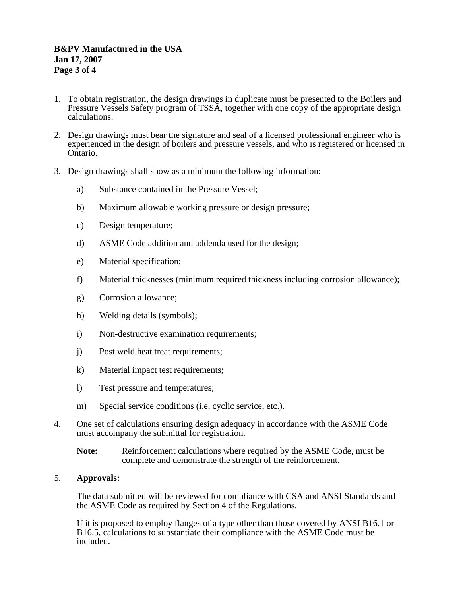- 1. To obtain registration, the design drawings in duplicate must be presented to the Boilers and Pressure Vessels Safety program of TSSA, together with one copy of the appropriate design calculations.
- 2. Design drawings must bear the signature and seal of a licensed professional engineer who is experienced in the design of boilers and pressure vessels, and who is registered or licensed in Ontario.
- 3. Design drawings shall show as a minimum the following information:
	- a) Substance contained in the Pressure Vessel;
	- b) Maximum allowable working pressure or design pressure;
	- c) Design temperature;
	- d) ASME Code addition and addenda used for the design;
	- e) Material specification;
	- f) Material thicknesses (minimum required thickness including corrosion allowance);
	- g) Corrosion allowance;
	- h) Welding details (symbols);
	- i) Non-destructive examination requirements;
	- j) Post weld heat treat requirements;
	- k) Material impact test requirements;
	- l) Test pressure and temperatures;
	- m) Special service conditions (i.e. cyclic service, etc.).
- 4. One set of calculations ensuring design adequacy in accordance with the ASME Code must accompany the submittal for registration.
	- **Note:** Reinforcement calculations where required by the ASME Code, must be complete and demonstrate the strength of the reinforcement.

### 5. **Approvals:**

The data submitted will be reviewed for compliance with CSA and ANSI Standards and the ASME Code as required by Section 4 of the Regulations.

If it is proposed to employ flanges of a type other than those covered by ANSI B16.1 or B16.5, calculations to substantiate their compliance with the ASME Code must be included.